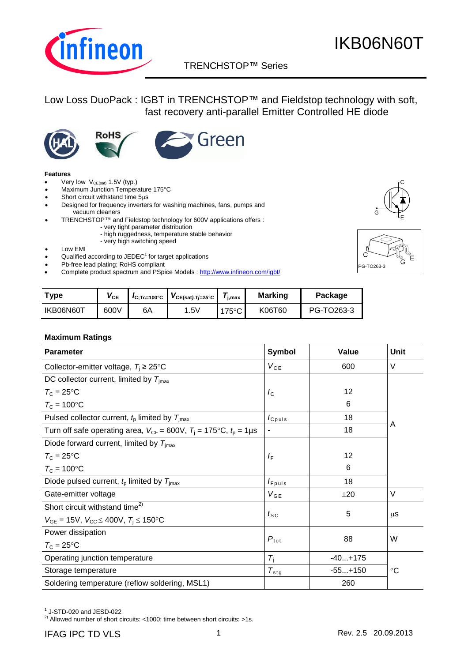

### TRENCHSTOP™ Series p

Low Loss DuoPack : IGBT in TRENCHSTOP™ and Fieldstop technology with soft, fast recovery anti-parallel Emitter Controlled HE diode







#### **Features**

- Very low  $V_{CE(sat)}$  1.5V (typ.)
- Maximum Junction Temperature 175°C
- Short circuit withstand time  $5\mu s$
- Designed for frequency inverters for washing machines, fans, pumps and vacuum cleaners
- TRENCHSTOP™ and Fieldstop technology for 600V applications offers :
	- very tight parameter distribution
	- high ruggedness, temperature stable behavior - very high switching speed
- 
- Low EMI • Qualified according to JEDEC $1$  for target applications
- Pb-free lead plating; RoHS compliant
- Complete product spectrum and PSpice Models : http://www.infineon.com/igbt/





| ™vpe      | $\mathsf{V}_{\mathsf{CE}}$ | $I_{\text{C:TC=100°C}}$ | $V_{CE(sat),Tj=25°C}$ | $I_{\text{i,max}}$ | <b>Marking</b> | Package    |
|-----------|----------------------------|-------------------------|-----------------------|--------------------|----------------|------------|
| IKB06N60T | 600V                       | 6A                      | 1.5 <sub>V</sub>      | 175°C              | K06T60         | PG-TO263-3 |

#### **Maximum Ratings**

| <b>Parameter</b>                                                                       | <b>Symbol</b>                 | Value     | Unit    |
|----------------------------------------------------------------------------------------|-------------------------------|-----------|---------|
| Collector-emitter voltage, $T_i \geq 25^{\circ}$ C                                     | $V_{CE}$                      | 600       | $\vee$  |
| DC collector current, limited by $T_{\text{imax}}$                                     |                               |           |         |
| $T_{\rm C}$ = 25°C                                                                     | $I_{\rm C}$                   | 12        |         |
| $T_{\rm C}$ = 100°C                                                                    |                               | 6         |         |
| Pulsed collector current, $tp$ limited by $Timax$                                      | $I_{C \text{puls}}$           | 18        |         |
| Turn off safe operating area, $V_{CE} = 600V$ , $T_i = 175^{\circ}C$ , $t_p = 1 \mu s$ | $\overline{a}$                | 18        | A       |
| Diode forward current, limited by $T_{\text{imax}}$                                    |                               |           |         |
| $T_{\rm C}$ = 25°C                                                                     | $I_F$                         | 12        |         |
| $T_c = 100$ °C                                                                         |                               | 6         |         |
| Diode pulsed current, $t_p$ limited by $T_{\text{imax}}$                               | $I_{Fpuls}$                   | 18        |         |
| Gate-emitter voltage                                                                   | $V_{GE}$                      | ±20       | $\vee$  |
| Short circuit withstand time <sup>2)</sup>                                             |                               |           |         |
| $V_{GE}$ = 15V, $V_{CC}$ $\leq$ 400V, $T_i$ $\leq$ 150°C                               | $t_{\scriptstyle\textrm{SC}}$ | 5         | $\mu$ S |
| Power dissipation                                                                      |                               | 88        | W       |
| $T_c = 25$ °C                                                                          | $P_{\text{tot}}$              |           |         |
| Operating junction temperature                                                         | $T_{\rm i}$                   | $-40+175$ |         |
| Storage temperature                                                                    | $T_{\text{stg}}$              | $-55+150$ | °C      |
| Soldering temperature (reflow soldering, MSL1)                                         |                               | 260       |         |

 $^1$  J-STD-020 and JESD-022

2) Allowed number of short circuits: <1000; time between short circuits: >1s.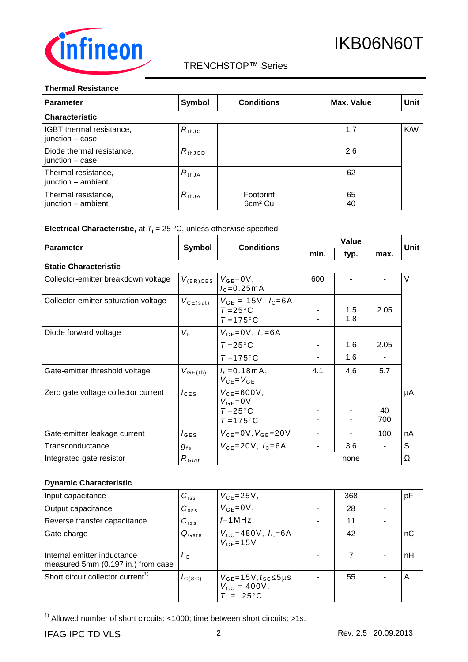

### TRENCHSTOP™ Series

#### **Thermal Resistance**

| <b>Parameter</b>                             | Symbol          | <b>Conditions</b>                | Max. Value | <b>Unit</b> |
|----------------------------------------------|-----------------|----------------------------------|------------|-------------|
| <b>Characteristic</b>                        |                 |                                  |            |             |
| IGBT thermal resistance,<br>junction - case  | $R_{thJC}$      |                                  | 1.7        | K/W         |
| Diode thermal resistance,<br>junction - case | $R_{\rm thJCD}$ |                                  | 2.6        |             |
| Thermal resistance,<br>junction - ambient    | $R_{thJA}$      |                                  | 62         |             |
| Thermal resistance,<br>junction - ambient    | $R_{thJA}$      | Footprint<br>6cm <sup>2</sup> Cu | 65<br>40   |             |

### **Electrical Characteristic,** at  $T_j = 25 \degree C$ , unless otherwise specified

|                                      |                   |                                                                     | Value |            |      | Unit     |
|--------------------------------------|-------------------|---------------------------------------------------------------------|-------|------------|------|----------|
| <b>Parameter</b>                     | Symbol            | <b>Conditions</b>                                                   | min.  | typ.       | max. |          |
| <b>Static Characteristic</b>         |                   |                                                                     |       |            |      |          |
| Collector-emitter breakdown voltage  | $V_{\rm (BR)CES}$ | $V_{GE} = 0V$ ,<br>$I_c = 0.25mA$                                   | 600   |            |      | V        |
| Collector-emitter saturation voltage | $V_{CE(sat)}$     | $V_{GE}$ = 15V, $I_C = 6A$<br>$T_i = 25^{\circ}C$<br>$T_i = 175$ °C |       | 1.5<br>1.8 | 2.05 |          |
| Diode forward voltage                | $V_{\mathsf{F}}$  | $V_{GE} = 0V$ , $I_F = 6A$                                          |       |            |      |          |
|                                      |                   | $T_i = 25^{\circ}C$                                                 |       | 1.6        | 2.05 |          |
|                                      |                   | $T_i = 175$ °C                                                      |       | 1.6        |      |          |
| Gate-emitter threshold voltage       | $V_{GE(th)}$      | $I_c = 0.18$ m A,<br>$V_{CE} = V_{GE}$                              | 4.1   | 4.6        | 5.7  |          |
| Zero gate voltage collector current  | $I_{\text{CES}}$  | $V_{CE}$ =600V,<br>$V_{GE} = 0V$                                    |       |            |      | μA       |
|                                      |                   | $T_i = 25^{\circ}C$                                                 |       |            | 40   |          |
|                                      |                   | $T_i = 175$ °C                                                      |       |            | 700  |          |
| Gate-emitter leakage current         | $I_{\text{GES}}$  | $V_{CE} = 0V, V_{GE} = 20V$                                         |       |            | 100  | nA       |
| Transconductance                     | $g_{\rm fs}$      | $V_{CF} = 20V, I_C = 6A$                                            |       | 3.6        |      | S        |
| Integrated gate resistor             | $R_{Gint}$        |                                                                     |       | none       |      | $\Omega$ |

### **Dynamic Characteristic**

| Input capacitance                                                 | $C_{iss}$         | $V_{CE} = 25V$ ,                                                             | 368 | рF |
|-------------------------------------------------------------------|-------------------|------------------------------------------------------------------------------|-----|----|
| Output capacitance                                                | $C_{\text{oss}}$  | $V_{GF} = 0V$ ,                                                              | 28  |    |
| Reverse transfer capacitance                                      | $C_{\text{rss}}$  | $f=1$ MHz                                                                    | 11  |    |
| Gate charge                                                       | $Q_{\text{Gate}}$ | $V_{\text{CC}} = 480V, I_{\text{C}} = 6A$<br>$V_{GF} = 15V$                  | 42  | nС |
| Internal emitter inductance<br>measured 5mm (0.197 in.) from case | $L_{\rm F}$       |                                                                              |     | nH |
| Short circuit collector current <sup>1)</sup>                     | $I_{C(SC)}$       | $V_{GE}$ =15V, $t_{SC}$ ≤5µs<br>$V_{\rm CC} = 400V$ ,<br>$T_i = 25^{\circ}C$ | 55  | Α  |

 $1)$  Allowed number of short circuits: <1000; time between short circuits: >1s.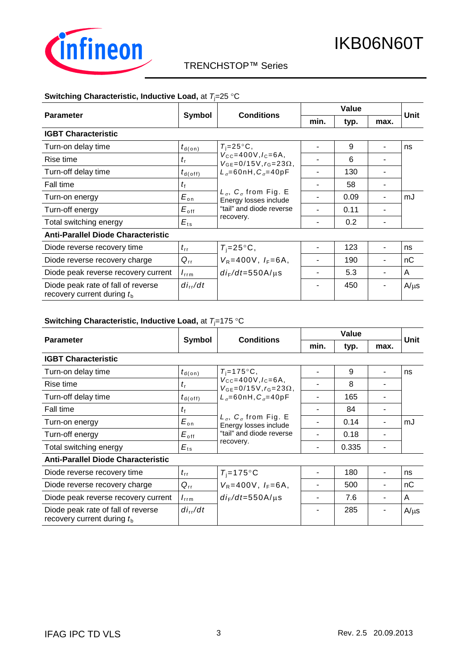

### TRENCHSTOP™ Series

#### **Switching Characteristic, Inductive Load, at**  $T_1=25$  **°C**

|                                                                    |                      |                                                                                                                                            | Value |      |      |             |
|--------------------------------------------------------------------|----------------------|--------------------------------------------------------------------------------------------------------------------------------------------|-------|------|------|-------------|
| <b>Parameter</b>                                                   | Symbol               | <b>Conditions</b>                                                                                                                          | min.  | typ. | max. | <b>Unit</b> |
| <b>IGBT Characteristic</b>                                         |                      |                                                                                                                                            |       |      |      |             |
| Turn-on delay time                                                 | $t_{\textsf{d}(on)}$ | $T_i = 25^{\circ}C$ ,                                                                                                                      |       | 9    |      | ns          |
| Rise time                                                          | $t_{\rm r}$          | $V_{\text{CC}} = 400V, I_{\text{C}} = 6A$<br>$V_{GF} = 0/15V, r_{G} = 23\Omega$ ,                                                          |       | 6    |      |             |
| Turn-off delay time                                                | $t_{d(\text{off})}$  | $L_{\sigma} = 60$ nH, $C_{\sigma} = 40$ pF<br>$L_{\sigma}$ , $C_{\sigma}$ from Fig. E<br>Energy losses include<br>"tail" and diode reverse |       | 130  |      |             |
| Fall time                                                          | $t_{\rm f}$          |                                                                                                                                            |       | 58   |      |             |
| Turn-on energy                                                     | $E_{\rm on}$         |                                                                                                                                            |       | 0.09 |      | mJ          |
| Turn-off energy                                                    | $E_{\rm off}$        |                                                                                                                                            |       | 0.11 |      |             |
| Total switching energy                                             | $E_{ts}$             | recovery.                                                                                                                                  |       | 0.2  |      |             |
| <b>Anti-Parallel Diode Characteristic</b>                          |                      |                                                                                                                                            |       |      |      |             |
| Diode reverse recovery time                                        | $t_{\rm rr}$         | $T_i = 25^{\circ}C$ ,                                                                                                                      |       | 123  |      | ns          |
| Diode reverse recovery charge                                      | $Q_{rr}$             | $V_R = 400V$ , $I_F = 6A$ ,                                                                                                                |       | 190  |      | nC          |
| Diode peak reverse recovery current                                | $I_{\rm rrm}$        | $di_F/dt = 550$ A/ $\mu$ s                                                                                                                 |       | 5.3  |      | A           |
| Diode peak rate of fall of reverse<br>recovery current during $tb$ | $di_{rr}/dt$         |                                                                                                                                            |       | 450  |      | $A/\mu s$   |

#### **Switching Characteristic, Inductive Load, at**  $T_i$ **=175 °C**

|                                                                    |                      |                                                                                                            | Value |       |      | Unit      |
|--------------------------------------------------------------------|----------------------|------------------------------------------------------------------------------------------------------------|-------|-------|------|-----------|
| <b>Parameter</b>                                                   | Symbol               | <b>Conditions</b>                                                                                          | min.  | typ.  | max. |           |
| <b>IGBT Characteristic</b>                                         |                      |                                                                                                            |       |       |      |           |
| Turn-on delay time                                                 | $t_{\textsf{d}(on)}$ | $T_i = 175$ °C,                                                                                            |       | 9     |      | ns        |
| Rise time                                                          | $t_{\rm r}$          | $V_{\text{CC}} = 400V, I_{\text{C}} = 6A,$<br>$V_{GE} = 0/15V, r_G = 23\Omega,$                            |       | 8     |      |           |
| Turn-off delay time                                                | $t_{\sf d(off)}$     | $L_{\sigma}$ =60nH, $C_{\sigma}$ =40pF<br>$L_{\sigma}$ , $C_{\sigma}$ from Fig. E<br>Energy losses include |       | 165   |      |           |
| Fall time                                                          | $t_{\rm f}$          |                                                                                                            |       | 84    |      |           |
| Turn-on energy                                                     | $E_{\text{on}}$      |                                                                                                            |       | 0.14  |      | mJ        |
| Turn-off energy                                                    | $E_{\text{off}}$     | "tail" and diode reverse                                                                                   |       | 0.18  |      |           |
| Total switching energy                                             | $E_{ts}$             | recovery.                                                                                                  |       | 0.335 |      |           |
| <b>Anti-Parallel Diode Characteristic</b>                          |                      |                                                                                                            |       |       |      |           |
| Diode reverse recovery time                                        | $t_{\rm rr}$         | $T_i = 175$ °C                                                                                             |       | 180   |      | ns        |
| Diode reverse recovery charge                                      | $Q_{rr}$             | $V_R = 400V$ , $I_F = 6A$ ,                                                                                |       | 500   |      | nC        |
| Diode peak reverse recovery current                                | $I_{\rm rrm}$        | $di_F/dt = 550$ A/µs                                                                                       |       | 7.6   |      | A         |
| Diode peak rate of fall of reverse<br>recovery current during $tb$ | $di_{rr}/dt$         |                                                                                                            |       | 285   |      | $A/\mu s$ |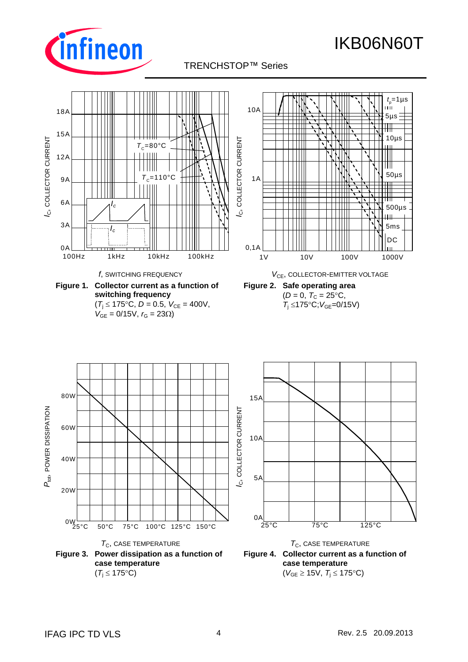

TRENCHSTOP™ Series p

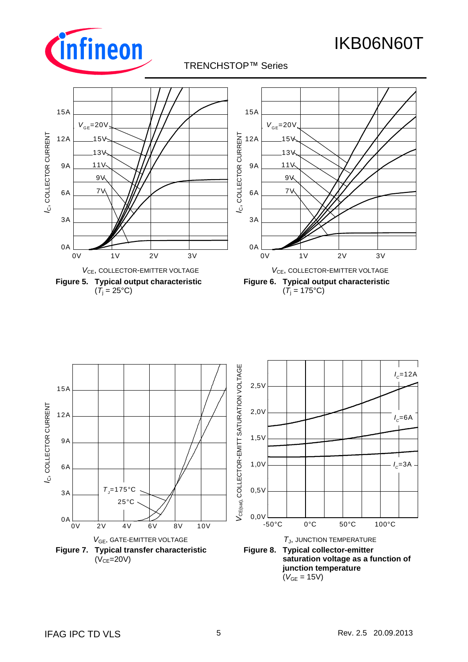

TRENCHSTOP™ Series p



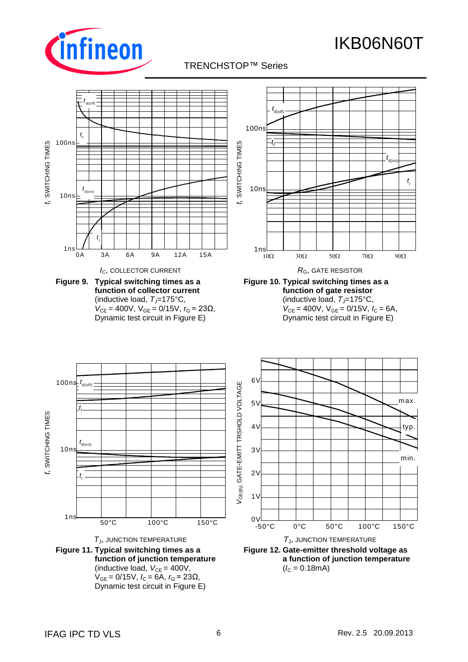

## TRENCHSTOP™ Series p

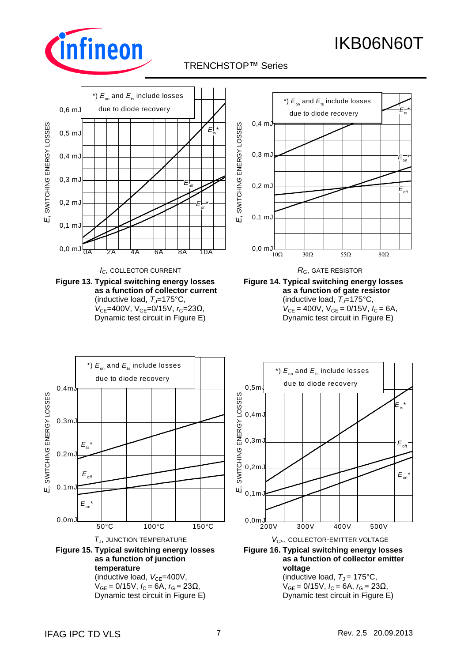

## TRENCHSTOP™ Series p

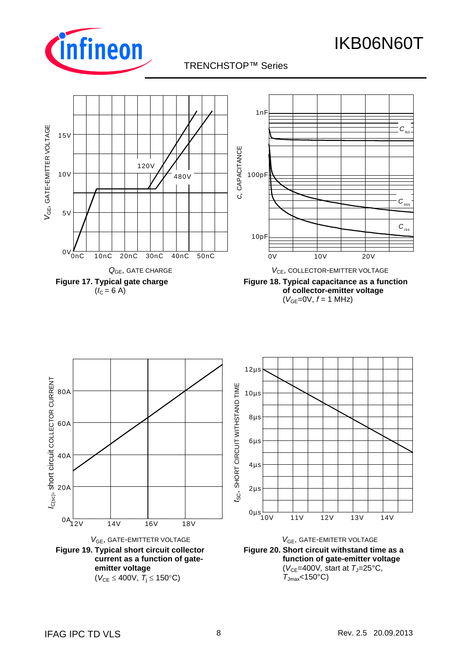

*C*rss

C<sub>oss</sub>

*C*iss

### TRENCHSTOP™ Series





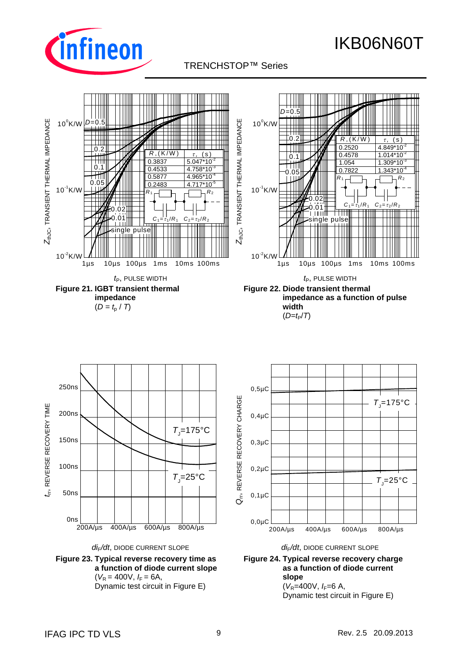

TRENCHSTOP™ Series p





*di*F*/dt*, DIODE CURRENT SLOPE *di*F*/dt*, DIODE CURRENT SLOPE **Figure 23. Typical reverse recovery time as a function of diode current slope**  $(V_R = 400V, I_F = 6A,$ Dynamic test circuit in Figure E)





Dynamic test circuit in Figure E)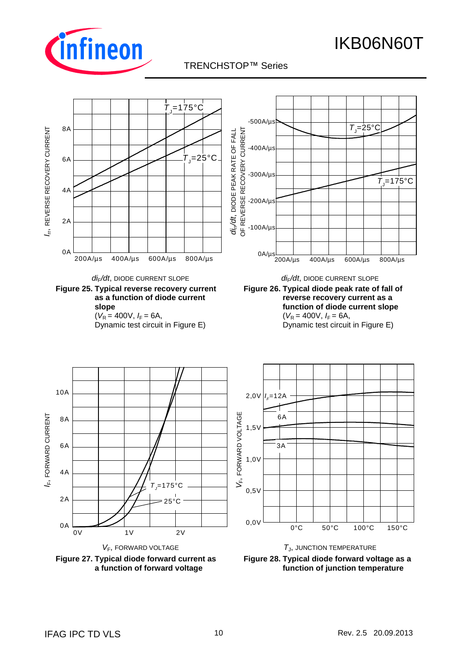

### TRENCHSTOP™ Series p

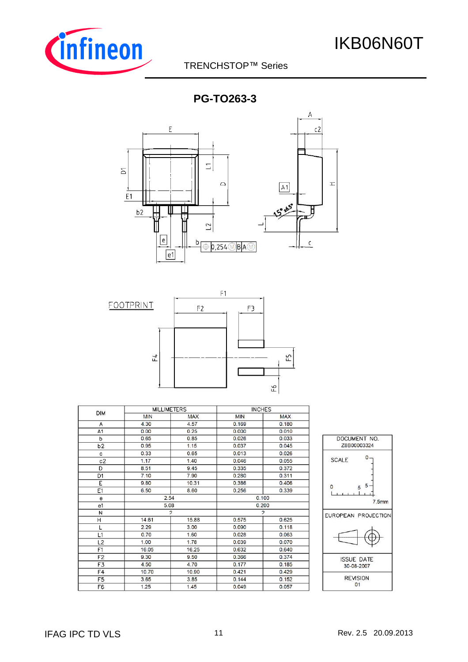

### TRENCHSTOP™ Series

**PG-TO263-3**





|                | <b>MILLIMETERS</b> |                |                | <b>INCHES</b> |                 |
|----------------|--------------------|----------------|----------------|---------------|-----------------|
| <b>DIM</b>     | <b>MIN</b>         | <b>MAX</b>     | <b>MIN</b>     | <b>MAX</b>    |                 |
| A              | 4.30               | 4.57           | 0.169          | 0.180         |                 |
| A <sub>1</sub> | 0.00               | 0.25           | 0.000          | 0.010         |                 |
| b              | 0.65               | 0.85           | 0.026          | 0.033         | <b>DOCUM</b>    |
| b2             | 0.95               | 1.15           | 0.037          | 0.045         | Z8B00           |
| c              | 0.33               | 0.65           | 0.013          | 0.026         |                 |
| c2             | 1.17               | 1.40           | 0.046          | 0.055         | <b>SCALE</b>    |
| D              | 8.51               | 9.45           | 0.335          | 0.372         |                 |
| D1             | 7.10               | 7.90           | 0.280          | 0.311         |                 |
| E              | 9.80               | 10.31          | 0.386          | 0.406         | 0               |
| E1             | 6.50               | 8.60           | 0.256          | 0.339         |                 |
| $\mathbf e$    |                    | 2.54           | 0.100          |               |                 |
| e <sub>1</sub> |                    | 5.08           | 0.200          |               |                 |
| N              |                    | $\overline{2}$ | $\overline{2}$ |               | <b>EUROPEAN</b> |
| н              | 14.61              | 15.88          | 0.575          | 0.625         |                 |
| L              | 2.29               | 3.00           | 0.090          | 0.118         |                 |
| L1             | 0.70               | 1.60           | 0.028          | 0.063         |                 |
| L <sub>2</sub> | 1.00               | 1.78           | 0.039          | 0.070         |                 |
| F1             | 16.05              | 16.25          | 0.632          | 0.640         |                 |
| F2             | 9.30               | 9.50           | 0.366          | 0.374         | <b>ISSUE</b>    |
| F3             | 4.50               | 4.70           | 0.177          | 0.185         | $30 - 0$        |
| F4             | 10.70              | 10.90          | 0.421          | 0.429         |                 |
| F <sub>5</sub> | 3.65               | 3.85           | 0.144          | 0.152         | <b>REV</b>      |
| F <sub>6</sub> | 1.25               | 1.45           | 0.049          | 0.057         |                 |

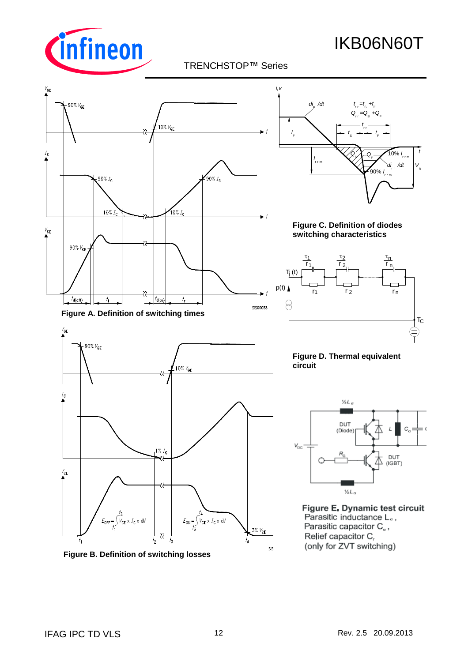

### TRENCHSTOP™ Series



<sup>(</sup>only for ZVT switching)

**Figure B. Definition of switching losses**

**SIS**